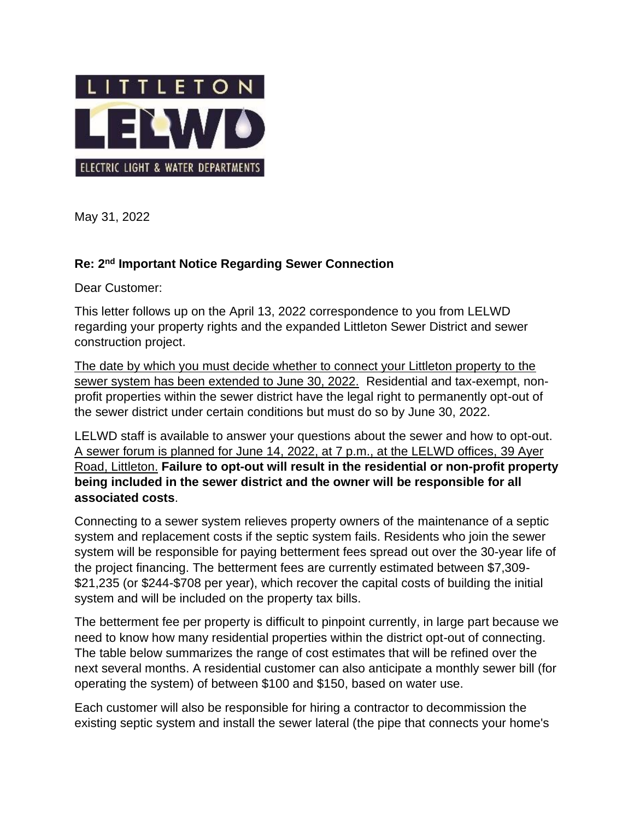

May 31, 2022

## **Re: 2 nd Important Notice Regarding Sewer Connection**

Dear Customer:

This letter follows up on the April 13, 2022 correspondence to you from LELWD regarding your property rights and the expanded Littleton Sewer District and sewer construction project.

The date by which you must decide whether to connect your Littleton property to the sewer system has been extended to June 30, 2022. Residential and tax-exempt, nonprofit properties within the sewer district have the legal right to permanently opt-out of the sewer district under certain conditions but must do so by June 30, 2022.

LELWD staff is available to answer your questions about the sewer and how to opt-out. A sewer forum is planned for June 14, 2022, at 7 p.m., at the LELWD offices, 39 Ayer Road, Littleton. **Failure to opt-out will result in the residential or non-profit property being included in the sewer district and the owner will be responsible for all associated costs**.

Connecting to a sewer system relieves property owners of the maintenance of a septic system and replacement costs if the septic system fails. Residents who join the sewer system will be responsible for paying betterment fees spread out over the 30-year life of the project financing. The betterment fees are currently estimated between \$7,309- \$21,235 (or \$244-\$708 per year), which recover the capital costs of building the initial system and will be included on the property tax bills.

The betterment fee per property is difficult to pinpoint currently, in large part because we need to know how many residential properties within the district opt-out of connecting. The table below summarizes the range of cost estimates that will be refined over the next several months. A residential customer can also anticipate a monthly sewer bill (for operating the system) of between \$100 and \$150, based on water use.

Each customer will also be responsible for hiring a contractor to decommission the existing septic system and install the sewer lateral (the pipe that connects your home's